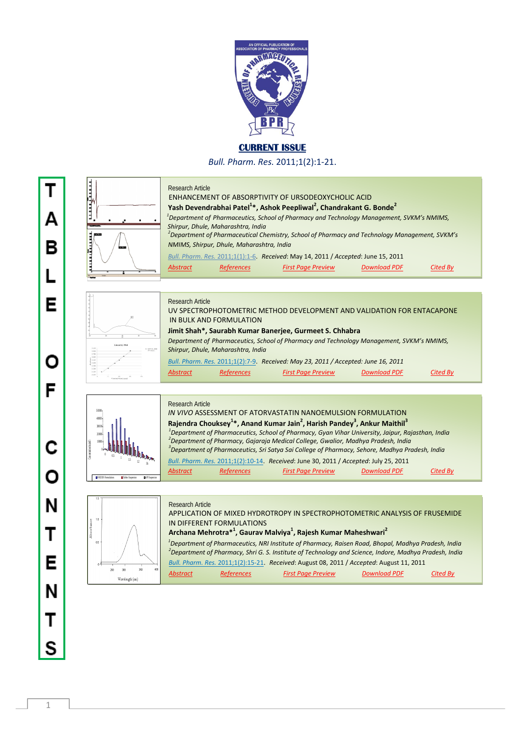

**CURRENT ISSUE** 

*Bull. Pharm. Res.* 2011;1(2):1-21.

Research Article ENHANCEMENT OF ABSORPTIVITY OF URSODEOXYCHOLIC ACID **1988** Yash Devendrabhai Patel<sup>1</sup>\*, Ashok Peepliwal<sup>2</sup>, Chandrakant G. Bonde<sup>2</sup> **1** 1 *Department of Pharmaceutics, School of Pharmacy and Technology Management, SVKM's NMIMS, Shirpur, Dhule, Maharashtra, India 2 Department of Pharmaceutical Chemistry, School of Pharmacy and Technology Management, SVKM's NMIMS, Shirpur, Dhule, Maharashtra, India Bull. Pharm. Res.* 2011;1(1):1-6. *Received*: May 14, 2011 / *Accepted*: June 15, 2011 *Abstract References First Page Preview Download PDF Cited By* Research Article UV SPECTROPHOTOMETRIC METHOD DEVELOPMENT AND VALIDATION FOR ENTACAPONE IN BULK AND FORMULATION  **Jimit Shah\*, Saurabh Kumar Banerjee, Gurmeet S. Chhabra***Department of Pharmaceutics, School of Pharmacy and Technology Management, SVKM's NMIMS, Shirpur, Dhule, Maharashtra, India Bull. Pharm. Res.* 2011;1(2):7-9. *Received: May 23, 2011 / Accepted: June 16, 2011 Abstract References First Page Preview Download PDF Cited By* Research Article *IN VIVO* ASSESSMENT OF ATORVASTATIN NANOEMULSION FORMULATION 50000 40000 **Rajendra Chouksey<sup>1\*</sup>, Anand Kumar Jain<sup>2</sup>, Harish Pandey<sup>3</sup>, Ankur Maithil<sup>3</sup>** 30000 <sup>1</sup> Department of Pharmaceutics, School of Pharmacy, Gyan Vihar University, Jaipur, Rajasthan, India<br><sup>2</sup> Department of Pharmacy, Ceiersin Madicel Cellege, Cyrelias, Madhya Predech, India 20000 *Department of Pharmacy, Gajaraja Medical College, Gwalior, Madhya Pradesh, India 3* Concentration (ng/ml) 10000 *Department of Pharmaceutics, Sri Satya Sai College of Pharmacy, Sehore, Madhya Pradesh, India* 0  $0.5$  1  $1.5$  12 36  *Bull. Pharm. Res.* 2011;1(2):10-14. *Received*: June 30, 2011 / *Accepted*: July 25, 2011 *Abstract References First Page Preview Download PDF Cited By* SNEDDS Formulations Tablets Suspension TIME Suspension Research Article APPLICATION OF MIXED HYDROTROPY IN SPECTROPHOTOMETRIC ANALYSIS OF FRUSEMIDE IN DIFFERENT FORMULATIONS  $\parallel$  **Archana Mehrotra** $^{*1}$ **, Gaurav Malviya** $^{1}$ **, Rajesh Kumar Maheshwari** $^{2}$  *1 Department of Pharmaceutics, NRI Institute of Pharmacy, Raisen Road, Bhopal, Madhya Pradesh, India 2 Department of Pharmacy, Shri G. S. Institute of Technology and Science, Indore, Madhya Pradesh, India Bull. Pharm. Res.* 2011;1(2):15-21. *Received*: August 08, 2011 / *Accepted*: August 11, 2011  $\frac{1}{30}$ *Abstract References First Page Preview Download PDF Cited By*  $W^{\text{opt}}$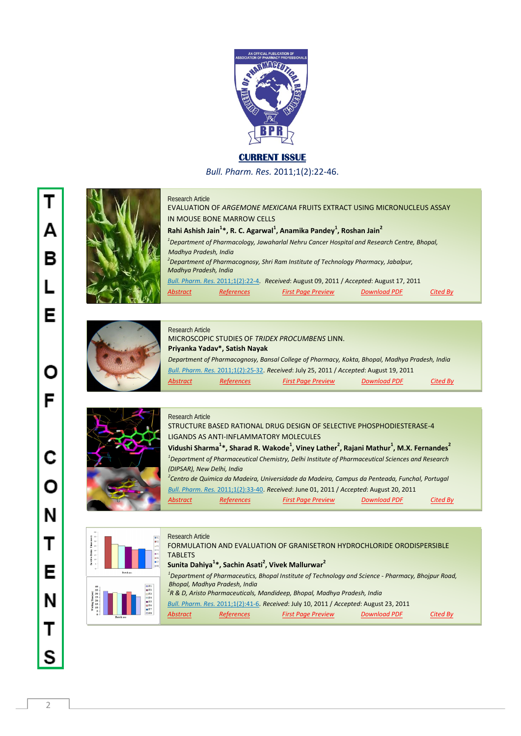

## **CURRENT ISSUE**

*Bull. Pharm. Res.* 2011;1(2):22-46.



## Research Article

Research Article

EVALUATION OF *ARGEMONE MEXICANA* FRUITS EXTRACT USING MICRONUCLEUS ASSAY IN MOUSE BONE MARROW CELLS **IZA** Rahi Ashish Jain<sup>1</sup>\*, R. C. Agarwal<sup>1</sup>, Anamika Pandey<sup>1</sup>, Roshan Jain<sup>2</sup> *1 Department of Pharmacology, Jawaharlal Nehru Cancer Hospital and Research Centre, Bhopal, Madhya Pradesh, India 2 Department of Pharmacognosy, Shri Ram Institute of Technology Pharmacy, Jabalpur, Madhya Pradesh, India Bull. Pharm. Res.* 2011;1(2):22-4. *Received*: August 09, 2011 / *Accepted*: August 17, 2011 *Abstract References First Page Preview Download PDF Cited By*



## *Department of Pharmacognosy, Bansal College of Pharmacy, Kokta, Bhopal, Madhya Pradesh, India*   *Bull. Pharm. Res.* 2011;1(2):25-32. *Received*: July 25, 2011 / *Accepted*: August 19, 2011 Research Article MICROSCOPIC STUDIES OF *TRIDEX PROCUMBENS* LINN.  **Priyanka Yadav\*, Satish Nayak** *Abstract References First Page Preview Download PDF Cited By*



| STRUCTURE BASED RATIONAL DRUG DESIGN OF SELECTIVE PHOSPHODIESTERASE-4                                                                               |
|-----------------------------------------------------------------------------------------------------------------------------------------------------|
| LIGANDS AS ANTI-INFLAMMATORY MOLECULES                                                                                                              |
| Vidushi Sharma <sup>1*</sup> , Sharad R. Wakode <sup>1</sup> , Viney Lather <sup>2</sup> , Rajani Mathur <sup>1</sup> , M.X. Fernandes <sup>2</sup> |
| <sup>1</sup> Department of Pharmaceutical Chemistry, Delhi Institute of Pharmaceutical Sciences and Research                                        |
| (DIPSAR), New Delhi, India                                                                                                                          |
| <sup>2</sup> Centro de Quimica da Madeira, Universidade da Madeira, Campus da Penteada, Funchal, Portugal                                           |
| Bull. Pharm. Res. 2011;1(2):33-40. Received: June 01, 2011 / Accepted: August 20, 2011                                                              |
|                                                                                                                                                     |

*Abstract References First Page Preview Download PDF Cited By*



| <b>BF1</b>                               | RESEART ANIME                                                                                                  |
|------------------------------------------|----------------------------------------------------------------------------------------------------------------|
| <b>BF2</b><br>lars                       | FORMULATION AND EVALUATION OF GRANISETRON HYDROCHLORIDE ORODISPERSIBLE                                         |
| m FS<br>B <sub>6</sub>                   | <b>TABLETS</b>                                                                                                 |
| <b>BF7</b><br>l a ra                     | Sunita Dahiya <sup>1</sup> *, Sachin Asati <sup>2</sup> , Vivek Mallurwar <sup>2</sup>                         |
|                                          | <sup>1</sup> Department of Pharmaceutics, Bhopal Institute of Technology and Science - Pharmacy, Bhojpur Road, |
| E1                                       | Bhopal, Madhya Pradesh, India                                                                                  |
| E2<br>$\Box$ F3<br>$\Box$ F4<br>F5<br>E6 | $2R$ & D, Aristo Pharmaceuticals, Mandideep, Bhopal, Madhya Pradesh, India                                     |
|                                          | Bull. Pharm. Res. 2011;1(2):41-6. Received: July 10, 2011 / Accepted: August 23, 2011                          |
| $E$ <sup>T</sup><br>E                    | <b>Download PDF</b><br><b>References</b><br><b>First Page Preview</b><br><b>Abstract</b><br>Cited By           |
|                                          |                                                                                                                |